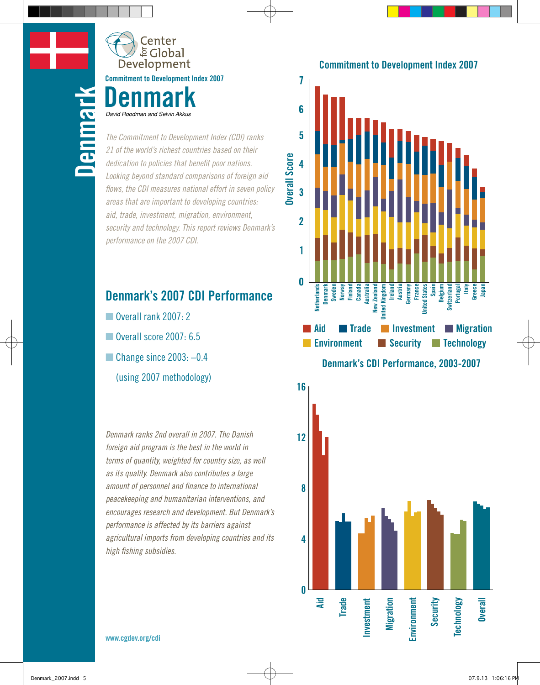**Belgium**

**Canada**

ة Global Development **Commitment to Development Index 2007 Denmark**

Center

*The Commitment to Development Index (CDI) ranks 21 of the world's richest countries based on their dedication to policies that benefit poor nations. Looking beyond standard comparisons of foreign aid flows, the CDI measures national effort in seven policy areas that are important to developing countries: aid, trade, investment, migration, environment, security and technology. This report reviews Denmark's performance on the 2007 CDI.* **Denmitment to Develoption**<br>
The Commitment to Develoption<br>
21 of the world's richest condedication to policies that the

### **Denmark's 2007 CDI Performance**

- **Portugal** Overall rank 2007: 2
- Overall score 2007: 6.5
- $\blacksquare$  Change since 2003:  $-0.4$ 
	- (using 2007 methodology)

*Denmark ranks 2nd overall in 2007. The Danish foreign aid program is the best in the world in terms of quantity, weighted for country size, as well as its quality. Denmark also contributes a large amount of personnel and finance to international peacekeeping and humanitarian interventions, and performance is affected by its barriers against high fishing subsidies.*



*encourages research and development. But Denmark's agricultural imports from developing countries and its* 



**www.cgdev.org/cdi**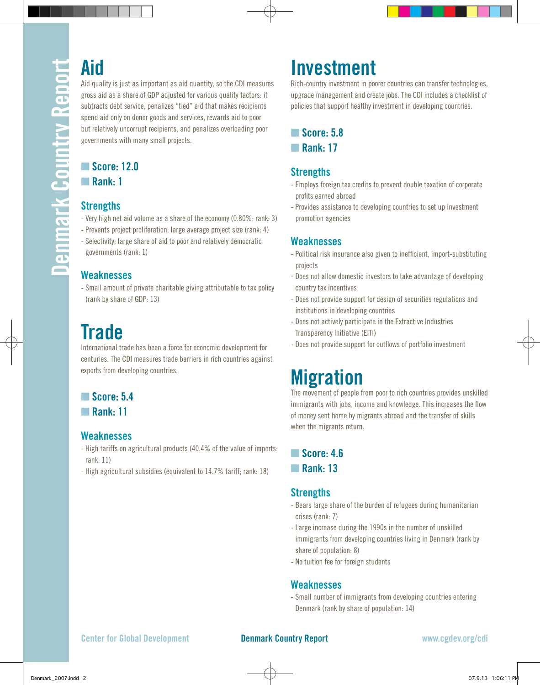Aid quality is just as important as aid quantity, so the CDI measures gross aid as a share of GDP adjusted for various quality factors: it subtracts debt service, penalizes "tied" aid that makes recipients spend aid only on donor goods and services, rewards aid to poor but relatively uncorrupt recipients, and penalizes overloading poor governments with many small projects.

## ■ Score: 12.0

**■ Rank: 1** 

### **Strengths**

- Very high net aid volume as a share of the economy (0.80%; rank: 3)
- Prevents project proliferation; large average project size (rank: 4) - Selectivity: large share of aid to poor and relatively democratic
- governments (rank: 1)

### **Weaknesses**

- Small amount of private charitable giving attributable to tax policy (rank by share of GDP: 13)

# **Trade**

International trade has been a force for economic development for centuries. The CDI measures trade barriers in rich countries against exports from developing countries.

### **n** Score: 5.4

**n** Rank: 11

### **Weaknesses**

- High tariffs on agricultural products (40.4% of the value of imports; rank: 11)
- High agricultural subsidies (equivalent to 14.7% tariff; rank: 18)

# **Investment**

Rich-country investment in poorer countries can transfer technologies, upgrade management and create jobs. The CDI includes a checklist of policies that support healthy investment in developing countries.

**n** Score: 5.8 **n** Rank: 17

### **Strengths**

- Employs foreign tax credits to prevent double taxation of corporate profits earned abroad
- Provides assistance to developing countries to set up investment promotion agencies

### **Weaknesses**

- Political risk insurance also given to inefficient, import-substituting projects
- Does not allow domestic investors to take advantage of developing country tax incentives
- Does not provide support for design of securities regulations and institutions in developing countries
- Does not actively participate in the Extractive Industries Transparency Initiative (EITI)
- Does not provide support for outflows of portfolio investment

# **Migration**

The movement of people from poor to rich countries provides unskilled immigrants with jobs, income and knowledge. This increases the flow of money sent home by migrants abroad and the transfer of skills when the migrants return.

### ■ Score: 4.6

### n **Rank: 13**

### **Strengths**

- Bears large share of the burden of refugees during humanitarian crises (rank: 7)
- Large increase during the 1990s in the number of unskilled immigrants from developing countries living in Denmark (rank by share of population: 8)
- No tuition fee for foreign students

### **Weaknesses**

- Small number of immigrants from developing countries entering Denmark (rank by share of population: 14)

### **Center for Global Development Denmark Country Report www.cgdev.org/cdi**

Denmark\_2007.indd 2 07.9.13 1:06:11 PM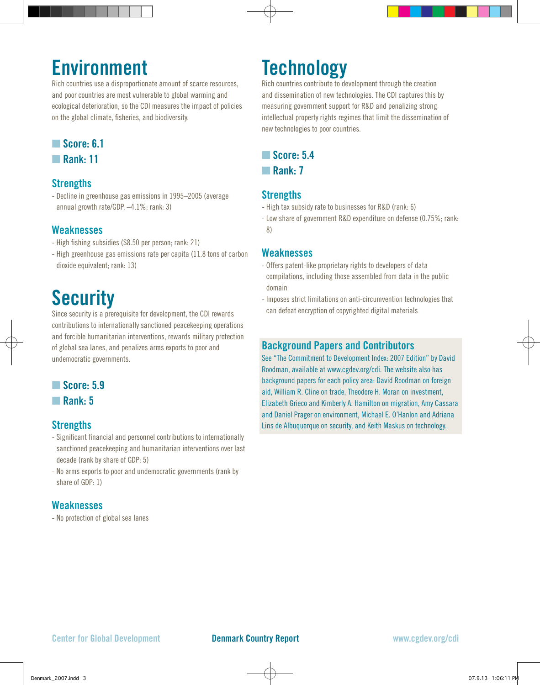## **Environment**

Rich countries use a disproportionate amount of scarce resources, and poor countries are most vulnerable to global warming and ecological deterioration, so the CDI measures the impact of policies on the global climate, fisheries, and biodiversity.

### ■ Score: 6.1

**n** Rank: 11

### **Strengths**

- Decline in greenhouse gas emissions in 1995–2005 (average annual growth rate/GDP, –4.1%; rank: 3)

### **Weaknesses**

- High fishing subsidies (\$8.50 per person; rank: 21)
- High greenhouse gas emissions rate per capita (11.8 tons of carbon dioxide equivalent; rank: 13)

# **Security**

Since security is a prerequisite for development, the CDI rewards contributions to internationally sanctioned peacekeeping operations and forcible humanitarian interventions, rewards military protection of global sea lanes, and penalizes arms exports to poor and undemocratic governments.

### ■ Score: 5.9

n **Rank: 5**

### **Strengths**

- Significant financial and personnel contributions to internationally sanctioned peacekeeping and humanitarian interventions over last decade (rank by share of GDP: 5)
- No arms exports to poor and undemocratic governments (rank by share of GDP: 1)

### **Weaknesses**

- No protection of global sea lanes

## **Technology**

Rich countries contribute to development through the creation and dissemination of new technologies. The CDI captures this by measuring government support for R&D and penalizing strong intellectual property rights regimes that limit the dissemination of new technologies to poor countries.

### ■ Score: 5.4

**■ Rank: 7** 

### **Strengths**

- High tax subsidy rate to businesses for R&D (rank: 6)
- Low share of government R&D expenditure on defense (0.75%; rank: 8)

### **Weaknesses**

- Offers patent-like proprietary rights to developers of data compilations, including those assembled from data in the public domain
- Imposes strict limitations on anti-circumvention technologies that can defeat encryption of copyrighted digital materials

### **Background Papers and Contributors**

See "The Commitment to Development Index: 2007 Edition" by David Roodman, available at www.cgdev.org/cdi. The website also has background papers for each policy area: David Roodman on foreign aid, William R. Cline on trade, Theodore H. Moran on investment, Elizabeth Grieco and Kimberly A. Hamilton on migration, Amy Cassara and Daniel Prager on environment, Michael E. O'Hanlon and Adriana Lins de Albuquerque on security, and Keith Maskus on technology.